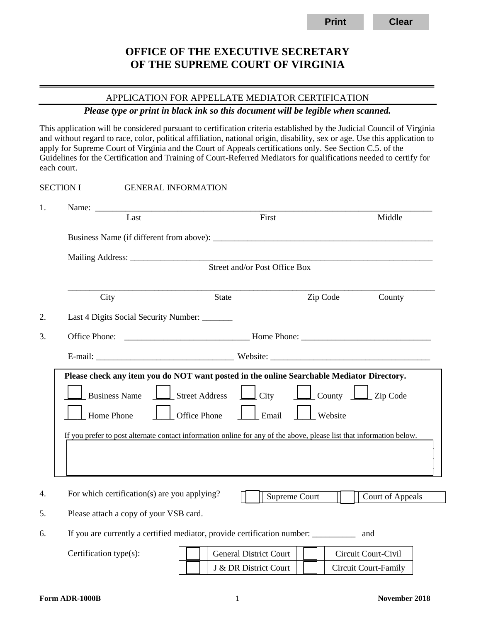# **OFFICE OF THE EXECUTIVE SECRETARY OF THE SUPREME COURT OF VIRGINIA**

# APPLICATION FOR APPELLATE MEDIATOR CERTIFICATION

#### *Please type or print in black ink so this document will be legible when scanned.*

This application will be considered pursuant to certification criteria established by the Judicial Council of Virginia and without regard to race, color, political affiliation, national origin, disability, sex or age. Use this application to apply for Supreme Court of Virginia and the Court of Appeals certifications only. See Section C.5. of the Guidelines for the Certification and Training of Court-Referred Mediators for qualifications needed to certify for each court.

| <b>SECTION I</b> |                                                                                           |                                                                                                                      | <b>GENERAL INFORMATION</b>                   |                               |                  |  |
|------------------|-------------------------------------------------------------------------------------------|----------------------------------------------------------------------------------------------------------------------|----------------------------------------------|-------------------------------|------------------|--|
| 1.               |                                                                                           | Last                                                                                                                 | First                                        |                               | Middle           |  |
|                  |                                                                                           |                                                                                                                      |                                              |                               |                  |  |
|                  |                                                                                           |                                                                                                                      |                                              |                               |                  |  |
|                  | Street and/or Post Office Box                                                             |                                                                                                                      |                                              |                               |                  |  |
|                  |                                                                                           | City                                                                                                                 | <b>State</b>                                 | Zip Code                      | County           |  |
| 2.               |                                                                                           |                                                                                                                      | Last 4 Digits Social Security Number: ______ |                               |                  |  |
| 3.               | Office Phone:                                                                             |                                                                                                                      |                                              |                               |                  |  |
|                  |                                                                                           |                                                                                                                      |                                              |                               |                  |  |
|                  | Please check any item you do NOT want posted in the online Searchable Mediator Directory. |                                                                                                                      |                                              |                               |                  |  |
|                  |                                                                                           | <b>Business Name</b>                                                                                                 | $\perp$ City<br><b>Street Address</b>        | $\Box$ County $\Box$ Zip Code |                  |  |
|                  | <b>Office Phone</b><br>Email<br>Home Phone<br>Website                                     |                                                                                                                      |                                              |                               |                  |  |
|                  |                                                                                           | If you prefer to post alternate contact information online for any of the above, please list that information below. |                                              |                               |                  |  |
|                  |                                                                                           |                                                                                                                      |                                              |                               |                  |  |
|                  |                                                                                           |                                                                                                                      |                                              |                               |                  |  |
| 4.               |                                                                                           |                                                                                                                      | For which certification(s) are you applying? | Supreme Court                 | Court of Appeals |  |
| 5.               |                                                                                           |                                                                                                                      | Please attach a copy of your VSB card.       |                               |                  |  |

6. If you are currently a certified mediator, provide certification number: \_\_\_\_\_\_\_\_\_\_ and

Certification type(s): General District Court | | | | Circuit Court-Civil J & DR District Court | | | Circuit Court-Family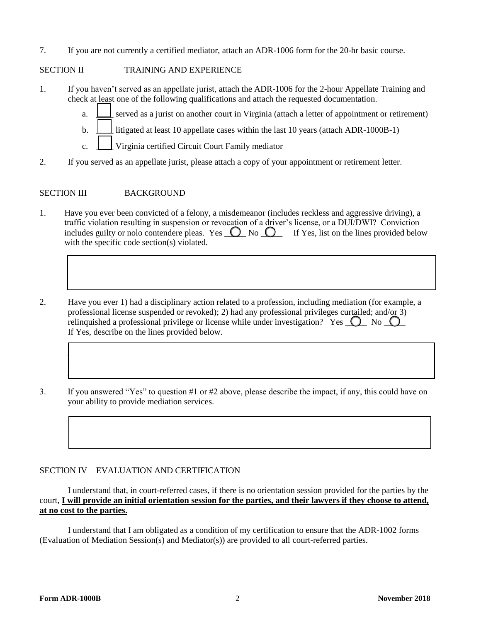7. If you are not currently a certified mediator, attach an ADR-1006 form for the 20-hr basic course.

## SECTION II TRAINING AND EXPERIENCE

- 1. If you haven't served as an appellate jurist, attach the ADR-1006 for the 2-hour Appellate Training and check at least one of the following qualifications and attach the requested documentation.
	- a. \_\_\_\_ served as a jurist on another court in Virginia (attach a letter of appointment or retirement)
	- b.  $\Box$  litigated at least 10 appellate cases within the last 10 years (attach ADR-1000B-1)
	- c. \_\_\_\_ Virginia certified Circuit Court Family mediator
- 2. If you served as an appellate jurist, please attach a copy of your appointment or retirement letter.

## SECTION III BACKGROUND

1. Have you ever been convicted of a felony, a misdemeanor (includes reckless and aggressive driving), a traffic violation resulting in suspension or revocation of a driver's license, or a DUI/DWI? Conviction includes guilty or nolo contendere pleas. Yes  $\bigcirc$  No  $\bigcirc$  If Yes, list on the lines provided below with the specific code section(s) violated*.*

 $\Box$ 

 $\Box$ 

 $\Box$ 

 $\Box$ 

 $\Box$  , where the contribution of the contribution of the contribution of the contribution of the contribution of the contribution of the contribution of the contribution of the contribution of the contribution of the cont

 $\Box$  , where the contribution of the contribution of the contribution of the contribution of the contribution of the contribution of the contribution of the contribution of the contribution of the contribution of the cont

- 2. Have you ever 1) had a disciplinary action related to a profession, including mediation (for example, a professional license suspended or revoked); 2) had any professional privileges curtailed; and/or 3) relinquished a professional privilege or license while under investigation? Yes  $\bigcirc$  No  $\bigcirc$ If Yes, describe on the lines provided below.
- 3. If you answered "Yes" to question #1 or #2 above, please describe the impact, if any, this could have on your ability to provide mediation services.

#### SECTION IV EVALUATION AND CERTIFICATION

I understand that, in court-referred cases, if there is no orientation session provided for the parties by the court, **I will provide an initial orientation session for the parties, and their lawyers if they choose to attend, at no cost to the parties.**

I understand that I am obligated as a condition of my certification to ensure that the ADR-1002 forms (Evaluation of Mediation Session(s) and Mediator(s)) are provided to all court-referred parties.